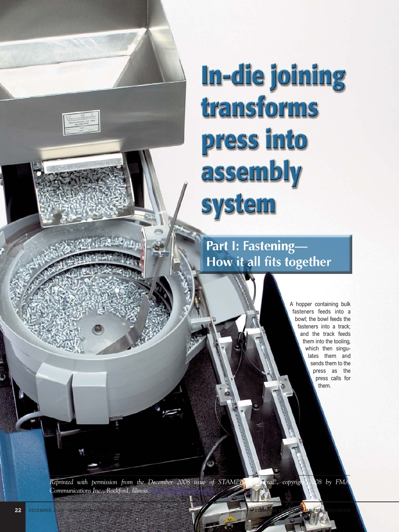# In-die joining transforms press into assembly **system**

Part I: Fastening-How it all fits together

> A hopper containing bulk fasteners feeds into a bowl; the bowl feeds the fasteners into a track; and the track feeds them into the tooling, which then singulates them and sends them to the press as the press calls for them.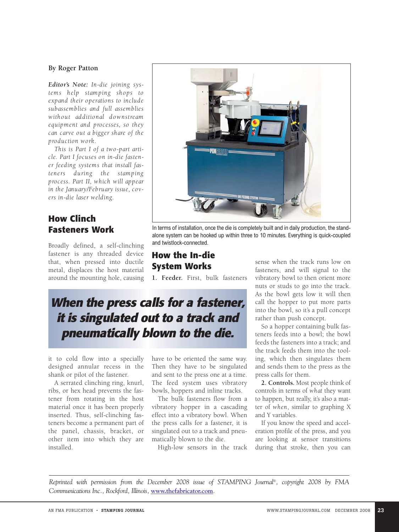#### **By Roger Patton**

*Editor's Note: In-die joining systems help stamping shops to expand their operations to include subassemblies and full assemblies without additional downstream equipment and processes, so they can carve out a bigger share of the production work.*

*This is Part I of a two-part article. Part I focuses on in-die fastener feeding systems that install fasteners during the stamping process. Part II, which will appear in the January/February issue, covers in-die laser welding.*

#### **How Clinch Fasteners Work**

Broadly defined, a self-clinching fastener is any threaded device that, when pressed into ductile metal, displaces the host material around the mounting hole, causing



In terms of installation, once the die is completely built and in daily production, the standalone system can be hooked up within three to 10 minutes. Everything is quick-coupled and twistlock-connected.

## **How the In-die System Works**

**1. Feeder.** First, bulk fasteners

# **When the press calls for a fastener, it is singulated out to a track and pneumatically blown to the die.**

it to cold flow into a specially designed annular recess in the shank or pilot of the fastener.

A serrated clinching ring, knurl, ribs, or hex head prevents the fastener from rotating in the host material once it has been properly inserted. Thus, self-clinching fasteners become a permanent part of the panel, chassis, bracket, or other item into which they are installed.

have to be oriented the same way. Then they have to be singulated and sent to the press one at a time. The feed system uses vibratory bowls, hoppers and inline tracks.

The bulk fasteners flow from a vibratory hopper in a cascading effect into a vibratory bowl. When the press calls for a fastener, it is singulated out to a track and pneumatically blown to the die.

High-low sensors in the track

sense when the track runs low on fasteners, and will signal to the vibratory bowl to then orient more nuts or studs to go into the track. As the bowl gets low it will then call the hopper to put more parts into the bowl, so it's a pull concept rather than push concept.

So a hopper containing bulk fasteners feeds into a bowl; the bowl feeds the fasteners into a track; and the track feeds them into the tooling, which then singulates them and sends them to the press as the press calls for them.

**2. Controls.** Most people think of controls in terms of *what* they want to happen, but really, it's also a matter of *when*, similar to graphing X and Y variables.

If you know the speed and acceleration profile of the press, and you are looking at sensor transitions during that stroke, then you can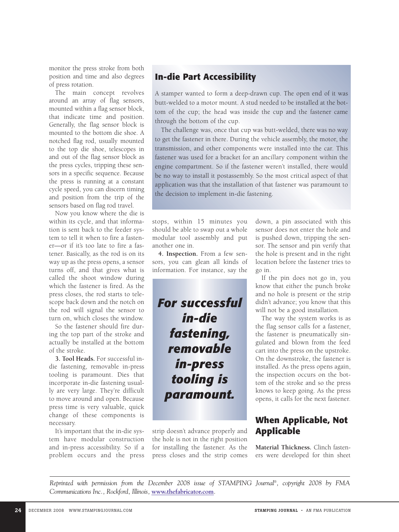monitor the press stroke from both position and time and also degrees of press rotation.

The main concept revolves around an array of flag sensors, mounted within a flag sensor block, that indicate time and position. Generally, the flag sensor block is mounted to the bottom die shoe. A notched flag rod, usually mounted to the top die shoe, telescopes in and out of the flag sensor block as the press cycles, tripping these sensors in a specific sequence. Because the press is running at a constant cycle speed, you can discern timing and position from the trip of the sensors based on flag rod travel.

Now you know where the die is within its cycle, and that information is sent back to the feeder system to tell it when to fire a fastener—or if it's too late to fire a fastener. Basically, as the rod is on its way up as the press opens, a sensor turns off, and that gives what is called the shoot window during which the fastener is fired. As the press closes, the rod starts to telescope back down and the notch on the rod will signal the sensor to turn on, which closes the window.

So the fastener should fire during the top part of the stroke and actually be installed at the bottom of the stroke.

**3. Tool Heads.** For successful indie fastening, removable in-press tooling is paramount. Dies that incorporate in-die fastening usually are very large. They're difficult to move around and open. Because press time is very valuable, quick change of these components is necessary.

It's important that the in-die system have modular construction and in-press accessibility. So if a problem occurs and the press

## **In-die Part Accessibility**

A stamper wanted to form a deep-drawn cup. The open end of it was butt-welded to a motor mount. A stud needed to be installed at the bottom of the cup; the head was inside the cup and the fastener came through the bottom of the cup.

The challenge was, once that cup was butt-welded, there was no way to get the fastener in there. During the vehicle assembly, the motor, the transmission, and other components were installed into the car. This fastener was used for a bracket for an ancillary component within the engine compartment. So if the fastener weren't installed, there would be no way to install it postassembly. So the most critical aspect of that application was that the installation of that fastener was paramount to the decision to implement in-die fastening.

stops, within 15 minutes you should be able to swap out a whole modular tool assembly and put another one in.

**4. Inspection.** From a few sensors, you can glean all kinds of information. For instance, say the

*For successful in-die fastening, removable in-press tooling is paramount.*

strip doesn't advance properly and the hole is not in the right position for installing the fastener. As the press closes and the strip comes

down, a pin associated with this sensor does not enter the hole and is pushed down, tripping the sensor. The sensor and pin verify that the hole is present and in the right location before the fastener tries to go in.

If the pin does not go in, you know that either the punch broke and no hole is present or the strip didn't advance; you know that this will not be a good installation.

The way the system works is as the flag sensor calls for a fastener, the fastener is pneumatically singulated and blown from the feed cart into the press on the upstroke. On the downstroke, the fastener is installed. As the press opens again, the inspection occurs on the bottom of the stroke and so the press knows to keep going. As the press opens, it calls for the next fastener.

#### **When Applicable, Not Applicable**

**Material Thickness.** Clinch fasteners were developed for thin sheet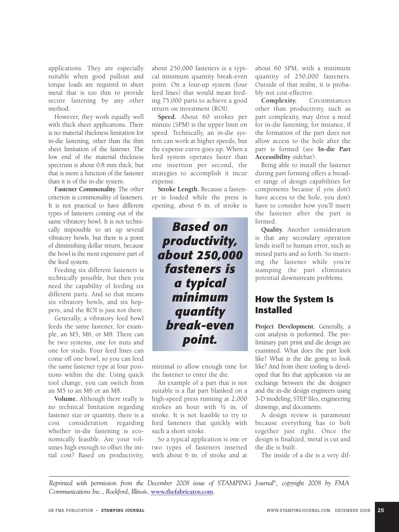applications. They are especially suitable when good pullout and torque loads are required in sheet metal that is too thin to provide secure fastening by any other method.

However, they work equally well with thick sheet applications. There is no material thickness limitation for in-die fastening, other than the thin sheet limitation of the fastener. The low end of the material thickness spectrum is about 0.8 mm thick, but that is more a function of the fastener than it is of the in-die system.

**Fastener Commonality.** The other criterion is commonality of fasteners. It is not practical to have different types of fasteners coming out of the same vibratory bowl. It is not technically impossible to set up several vibratory bowls, but there is a point of diminishing dollar return, because the bowl is the most expensive part of the feed system.

Feeding six different fasteners is technically possible, but then you need the capability of feeding six different parts. And so that means six vibratory bowls, and six hoppers, and the ROI is just not there.

Generally, a vibratory feed bowl feeds the same fastener, for example, an M5, M6, or M8. There can be two systems, one for nuts and one for studs. Four feed lines can come off one bowl, so you can feed the same fastener type at four positions within the die. Using quick tool change, you can switch from an M5 to an M6 or an M8.

**Volume.** Although there really is no technical limitation regarding fastener size or quantity, there is a cost consideration regarding whether in-die fastening is economically feasible. Are your volumes high enough to offset the initial cost? Based on productivity,

about 250,000 fasteners is a typical minimum quantity break-even point. On a four-up system (four feed lines) that would mean feeding 75,000 parts to achieve a good return on investment (ROI).

**Speed.** About 60 strokes per minute (SPM) is the upper limit on speed. Technically, an in-die system can work at higher speeds, but the expense curve goes up. When a feed system operates faster than one insertion per second, the strategies to accomplish it incur expense.

**Stroke Length.** Because a fastener is loaded while the press is opening, about 6 in. of stroke is

*Based on productivity, about 250,000 fasteners is a typical minimum quantity break-even point.*

minimal to allow enough time for the fastener to enter the die.

An example of a part that is not suitable is a flat part blanked on a high-speed press running at 2,000 strokes an hour with ½ in. of stroke. It is not feasible to try to feed fasteners that quickly with such a short stroke.

So a typical application is one or two types of fasteners inserted with about 6 in. of stroke and at

about 60 SPM, with a minimum quantity of 250,000 fasteners. Outside of that realm, it is probably not cost-effective.

**Complexity.** Circumstances other than productivity, such as part complexity, may drive a need for in-die fastening; for instance, if the formation of the part does not allow access to the hole after the part is formed (see **In-die Part Accessibility** sidebar).

Being able to install the fastener during part forming offers a broader range of design capabilities for components because if you don't have access to the hole, you don't have to consider how you'll insert the fastener after the part is formed.

**Quality.** Another consideration is that any secondary operation lends itself to human error, such as mixed parts and so forth. So inserting the fastener while you're stamping the part eliminates potential downstream problems.

#### **How the System Is Installed**

**Project Development.** Generally, a cost analysis is performed. The preliminary part print and die design are examined. What does the part look like? What is the die going to look like? And from there tooling is developed that fits that application via an exchange between the die designer and the in-die design engineers using 3-D modeling, STEP files, engineering drawings, and documents.

A design review is paramount because everything has to bolt together just right. Once the design is finalized, metal is cut and the die is built.

The inside of a die is a very dif-